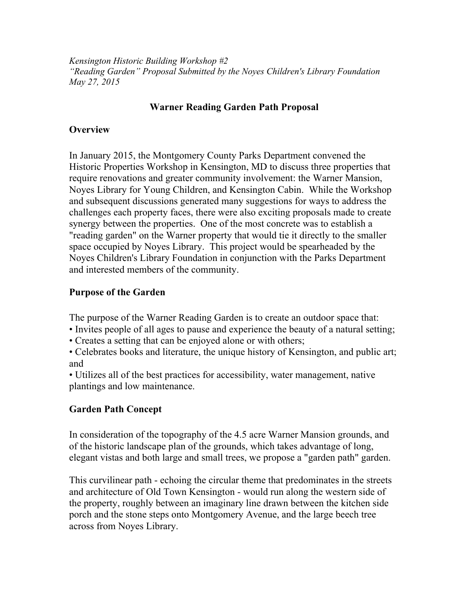*Kensington Historic Building Workshop #2 "Reading Garden" Proposal Submitted by the Noyes Children's Library Foundation May 27, 2015*

# **Warner Reading Garden Path Proposal**

### **Overview**

In January 2015, the Montgomery County Parks Department convened the Historic Properties Workshop in Kensington, MD to discuss three properties that require renovations and greater community involvement: the Warner Mansion, Noyes Library for Young Children, and Kensington Cabin. While the Workshop and subsequent discussions generated many suggestions for ways to address the challenges each property faces, there were also exciting proposals made to create synergy between the properties. One of the most concrete was to establish a "reading garden" on the Warner property that would tie it directly to the smaller space occupied by Noyes Library. This project would be spearheaded by the Noyes Children's Library Foundation in conjunction with the Parks Department and interested members of the community.

#### **Purpose of the Garden**

The purpose of the Warner Reading Garden is to create an outdoor space that:

- Invites people of all ages to pause and experience the beauty of a natural setting;
- Creates a setting that can be enjoyed alone or with others;
- Celebrates books and literature, the unique history of Kensington, and public art; and
- Utilizes all of the best practices for accessibility, water management, native plantings and low maintenance.

## **Garden Path Concept**

In consideration of the topography of the 4.5 acre Warner Mansion grounds, and of the historic landscape plan of the grounds, which takes advantage of long, elegant vistas and both large and small trees, we propose a "garden path" garden.

This curvilinear path - echoing the circular theme that predominates in the streets and architecture of Old Town Kensington - would run along the western side of the property, roughly between an imaginary line drawn between the kitchen side porch and the stone steps onto Montgomery Avenue, and the large beech tree across from Noyes Library.